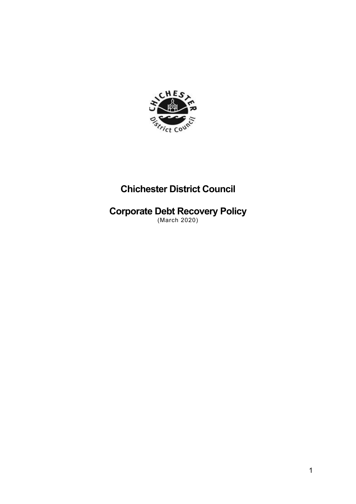

# **Chichester District Council**

# **Corporate Debt Recovery Policy**

(March 2020)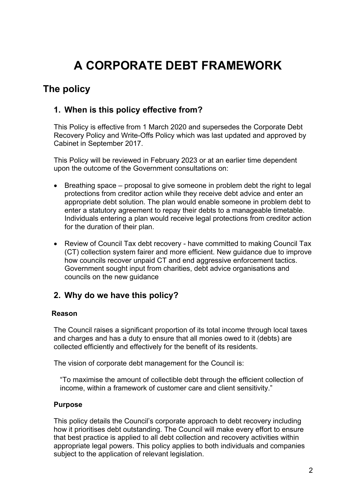# **A CORPORATE DEBT FRAMEWORK**

### **The policy**

### **1. When is this policy effective from?**

This Policy is effective from 1 March 2020 and supersedes the Corporate Debt Recovery Policy and Write-Offs Policy which was last updated and approved by Cabinet in September 2017.

This Policy will be reviewed in February 2023 or at an earlier time dependent upon the outcome of the Government consultations on:

- Breathing space proposal to give someone in problem debt the right to legal protections from creditor action while they receive debt advice and enter an appropriate debt solution. The plan would enable someone in problem debt to enter a statutory agreement to repay their debts to a manageable timetable. Individuals entering a plan would receive legal protections from creditor action for the duration of their plan.
- Review of Council Tax debt recovery have committed to making Council Tax (CT) collection system fairer and more efficient. New guidance due to improve how councils recover unpaid CT and end aggressive enforcement tactics. Government sought input from charities, debt advice organisations and councils on the new guidance

### **2. Why do we have this policy?**

#### **Reason**

The Council raises a significant proportion of its total income through local taxes and charges and has a duty to ensure that all monies owed to it (debts) are collected efficiently and effectively for the benefit of its residents.

The vision of corporate debt management for the Council is:

"To maximise the amount of collectible debt through the efficient collection of income, within a framework of customer care and client sensitivity."

#### **Purpose**

This policy details the Council's corporate approach to debt recovery including how it prioritises debt outstanding. The Council will make every effort to ensure that best practice is applied to all debt collection and recovery activities within appropriate legal powers. This policy applies to both individuals and companies subject to the application of relevant legislation.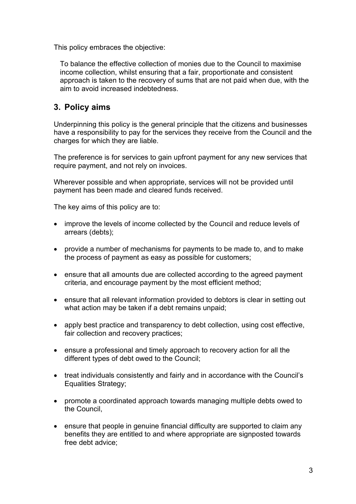This policy embraces the objective:

To balance the effective collection of monies due to the Council to maximise income collection, whilst ensuring that a fair, proportionate and consistent approach is taken to the recovery of sums that are not paid when due, with the aim to avoid increased indebtedness.

### **3. Policy aims**

Underpinning this policy is the general principle that the citizens and businesses have a responsibility to pay for the services they receive from the Council and the charges for which they are liable.

The preference is for services to gain upfront payment for any new services that require payment, and not rely on invoices.

Wherever possible and when appropriate, services will not be provided until payment has been made and cleared funds received.

The key aims of this policy are to:

- improve the levels of income collected by the Council and reduce levels of arrears (debts);
- provide a number of mechanisms for payments to be made to, and to make the process of payment as easy as possible for customers;
- ensure that all amounts due are collected according to the agreed payment criteria, and encourage payment by the most efficient method;
- ensure that all relevant information provided to debtors is clear in setting out what action may be taken if a debt remains unpaid;
- apply best practice and transparency to debt collection, using cost effective, fair collection and recovery practices;
- ensure a professional and timely approach to recovery action for all the different types of debt owed to the Council;
- treat individuals consistently and fairly and in accordance with the Council's Equalities Strategy;
- promote a coordinated approach towards managing multiple debts owed to the Council,
- ensure that people in genuine financial difficulty are supported to claim any benefits they are entitled to and where appropriate are signposted towards free debt advice;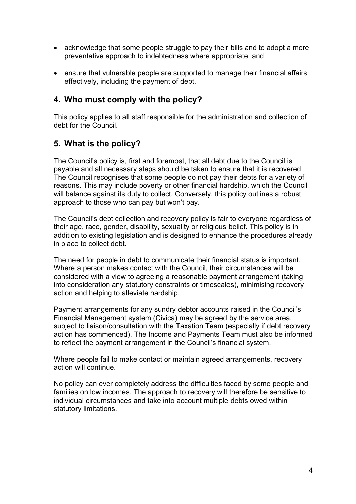- acknowledge that some people struggle to pay their bills and to adopt a more preventative approach to indebtedness where appropriate; and
- ensure that vulnerable people are supported to manage their financial affairs effectively, including the payment of debt.

### **4. Who must comply with the policy?**

This policy applies to all staff responsible for the administration and collection of debt for the Council.

### **5. What is the policy?**

The Council's policy is, first and foremost, that all debt due to the Council is payable and all necessary steps should be taken to ensure that it is recovered. The Council recognises that some people do not pay their debts for a variety of reasons. This may include poverty or other financial hardship, which the Council will balance against its duty to collect. Conversely, this policy outlines a robust approach to those who can pay but won't pay.

The Council's debt collection and recovery policy is fair to everyone regardless of their age, race, gender, disability, sexuality or religious belief. This policy is in addition to existing legislation and is designed to enhance the procedures already in place to collect debt.

The need for people in debt to communicate their financial status is important. Where a person makes contact with the Council, their circumstances will be considered with a view to agreeing a reasonable payment arrangement (taking into consideration any statutory constraints or timescales), minimising recovery action and helping to alleviate hardship.

Payment arrangements for any sundry debtor accounts raised in the Council's Financial Management system (Civica) may be agreed by the service area, subject to liaison/consultation with the Taxation Team (especially if debt recovery action has commenced). The Income and Payments Team must also be informed to reflect the payment arrangement in the Council's financial system.

Where people fail to make contact or maintain agreed arrangements, recovery action will continue.

No policy can ever completely address the difficulties faced by some people and families on low incomes. The approach to recovery will therefore be sensitive to individual circumstances and take into account multiple debts owed within statutory limitations.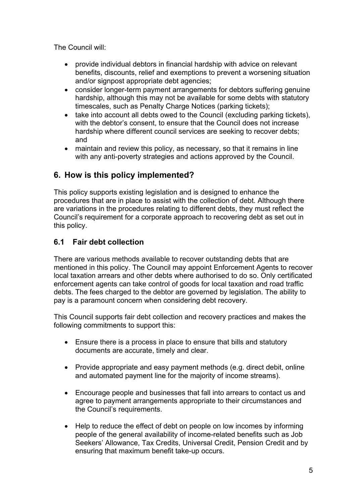The Council will:

- provide individual debtors in financial hardship with advice on relevant benefits, discounts, relief and exemptions to prevent a worsening situation and/or signpost appropriate debt agencies;
- consider longer-term payment arrangements for debtors suffering genuine hardship, although this may not be available for some debts with statutory timescales, such as Penalty Charge Notices (parking tickets);
- take into account all debts owed to the Council (excluding parking tickets), with the debtor's consent, to ensure that the Council does not increase hardship where different council services are seeking to recover debts; and
- maintain and review this policy, as necessary, so that it remains in line with any anti-poverty strategies and actions approved by the Council.

### **6. How is this policy implemented?**

This policy supports existing legislation and is designed to enhance the procedures that are in place to assist with the collection of debt. Although there are variations in the procedures relating to different debts, they must reflect the Council's requirement for a corporate approach to recovering debt as set out in this policy.

### **6.1 Fair debt collection**

There are various methods available to recover outstanding debts that are mentioned in this policy. The Council may appoint Enforcement Agents to recover local taxation arrears and other debts where authorised to do so. Only certificated enforcement agents can take control of goods for local taxation and road traffic debts. The fees charged to the debtor are governed by legislation. The ability to pay is a paramount concern when considering debt recovery.

This Council supports fair debt collection and recovery practices and makes the following commitments to support this:

- Ensure there is a process in place to ensure that bills and statutory documents are accurate, timely and clear.
- Provide appropriate and easy payment methods (e.g. direct debit, online and automated payment line for the majority of income streams).
- Encourage people and businesses that fall into arrears to contact us and agree to payment arrangements appropriate to their circumstances and the Council's requirements.
- Help to reduce the effect of debt on people on low incomes by informing people of the general availability of income-related benefits such as Job Seekers' Allowance, Tax Credits, Universal Credit, Pension Credit and by ensuring that maximum benefit take-up occurs.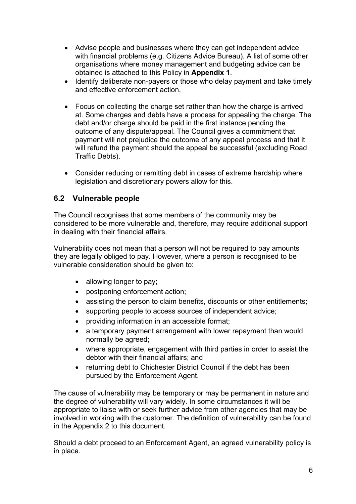- Advise people and businesses where they can get independent advice with financial problems (e.g. Citizens Advice Bureau). A list of some other organisations where money management and budgeting advice can be obtained is attached to this Policy in **Appendix 1**.
- Identify deliberate non-payers or those who delay payment and take timely and effective enforcement action.
- Focus on collecting the charge set rather than how the charge is arrived at. Some charges and debts have a process for appealing the charge. The debt and/or charge should be paid in the first instance pending the outcome of any dispute/appeal. The Council gives a commitment that payment will not prejudice the outcome of any appeal process and that it will refund the payment should the appeal be successful (excluding Road Traffic Debts).
- Consider reducing or remitting debt in cases of extreme hardship where legislation and discretionary powers allow for this.

#### **6.2 Vulnerable people**

The Council recognises that some members of the community may be considered to be more vulnerable and, therefore, may require additional support in dealing with their financial affairs.

Vulnerability does not mean that a person will not be required to pay amounts they are legally obliged to pay. However, where a person is recognised to be vulnerable consideration should be given to:

- allowing longer to pay:
- postponing enforcement action;
- assisting the person to claim benefits, discounts or other entitlements;
- supporting people to access sources of independent advice;
- providing information in an accessible format;
- a temporary payment arrangement with lower repayment than would normally be agreed;
- where appropriate, engagement with third parties in order to assist the debtor with their financial affairs; and
- returning debt to Chichester District Council if the debt has been pursued by the Enforcement Agent.

The cause of vulnerability may be temporary or may be permanent in nature and the degree of vulnerability will vary widely. In some circumstances it will be appropriate to liaise with or seek further advice from other agencies that may be involved in working with the customer. The definition of vulnerability can be found in the Appendix 2 to this document.

Should a debt proceed to an Enforcement Agent, an agreed vulnerability policy is in place.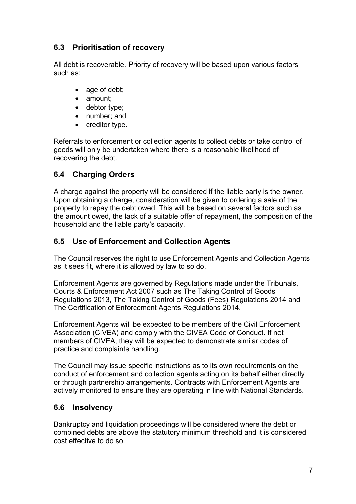### **6.3 Prioritisation of recovery**

All debt is recoverable. Priority of recovery will be based upon various factors such as:

- age of debt;
- amount;
- debtor type;
- number; and
- creditor type.

Referrals to enforcement or collection agents to collect debts or take control of goods will only be undertaken where there is a reasonable likelihood of recovering the debt.

### **6.4 Charging Orders**

A charge against the property will be considered if the liable party is the owner. Upon obtaining a charge, consideration will be given to ordering a sale of the property to repay the debt owed. This will be based on several factors such as the amount owed, the lack of a suitable offer of repayment, the composition of the household and the liable party's capacity.

### **6.5 Use of Enforcement and Collection Agents**

The Council reserves the right to use Enforcement Agents and Collection Agents as it sees fit, where it is allowed by law to so do.

Enforcement Agents are governed by Regulations made under the Tribunals, Courts & Enforcement Act 2007 such as The Taking Control of Goods Regulations 2013, The Taking Control of Goods (Fees) Regulations 2014 and The Certification of Enforcement Agents Regulations 2014.

Enforcement Agents will be expected to be members of the Civil Enforcement Association (CIVEA) and comply with the CIVEA Code of Conduct. If not members of CIVEA, they will be expected to demonstrate similar codes of practice and complaints handling.

The Council may issue specific instructions as to its own requirements on the conduct of enforcement and collection agents acting on its behalf either directly or through partnership arrangements. Contracts with Enforcement Agents are actively monitored to ensure they are operating in line with National Standards.

### **6.6 Insolvency**

Bankruptcy and liquidation proceedings will be considered where the debt or combined debts are above the statutory minimum threshold and it is considered cost effective to do so.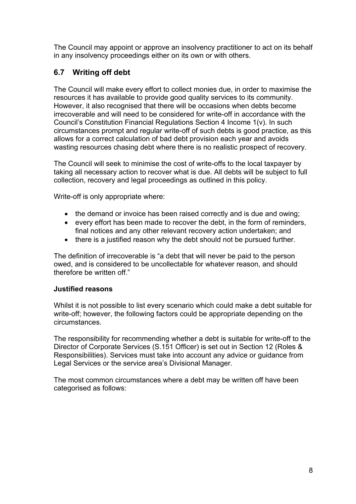The Council may appoint or approve an insolvency practitioner to act on its behalf in any insolvency proceedings either on its own or with others.

### **6.7 Writing off debt**

The Council will make every effort to collect monies due, in order to maximise the resources it has available to provide good quality services to its community. However, it also recognised that there will be occasions when debts become irrecoverable and will need to be considered for write-off in accordance with the Council's Constitution Financial Regulations Section 4 Income 1(v). In such circumstances prompt and regular write-off of such debts is good practice, as this allows for a correct calculation of bad debt provision each year and avoids wasting resources chasing debt where there is no realistic prospect of recovery.

The Council will seek to minimise the cost of write-offs to the local taxpayer by taking all necessary action to recover what is due. All debts will be subject to full collection, recovery and legal proceedings as outlined in this policy.

Write-off is only appropriate where:

- the demand or invoice has been raised correctly and is due and owing;
- every effort has been made to recover the debt, in the form of reminders, final notices and any other relevant recovery action undertaken; and
- there is a justified reason why the debt should not be pursued further.

The definition of irrecoverable is "a debt that will never be paid to the person owed, and is considered to be uncollectable for whatever reason, and should therefore be written off."

#### **Justified reasons**

Whilst it is not possible to list every scenario which could make a debt suitable for write-off; however, the following factors could be appropriate depending on the circumstances.

The responsibility for recommending whether a debt is suitable for write-off to the Director of Corporate Services (S.151 Officer) is set out in Section 12 (Roles & Responsibilities). Services must take into account any advice or guidance from Legal Services or the service area's Divisional Manager.

The most common circumstances where a debt may be written off have been categorised as follows: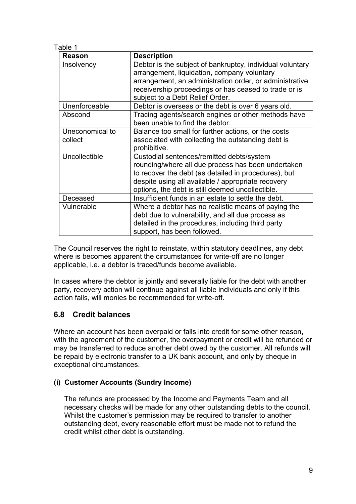| Table 1                    |                                                                                                                                                                                                                                                                   |  |  |
|----------------------------|-------------------------------------------------------------------------------------------------------------------------------------------------------------------------------------------------------------------------------------------------------------------|--|--|
| Reason                     | <b>Description</b>                                                                                                                                                                                                                                                |  |  |
| Insolvency                 | Debtor is the subject of bankruptcy, individual voluntary<br>arrangement, liquidation, company voluntary<br>arrangement, an administration order, or administrative<br>receivership proceedings or has ceased to trade or is<br>subject to a Debt Relief Order.   |  |  |
| Unenforceable              | Debtor is overseas or the debt is over 6 years old.                                                                                                                                                                                                               |  |  |
| Abscond                    | Tracing agents/search engines or other methods have<br>been unable to find the debtor.                                                                                                                                                                            |  |  |
| Uneconomical to<br>collect | Balance too small for further actions, or the costs<br>associated with collecting the outstanding debt is<br>prohibitive.                                                                                                                                         |  |  |
| Uncollectible              | Custodial sentences/remitted debts/system<br>rounding/where all due process has been undertaken<br>to recover the debt (as detailed in procedures), but<br>despite using all available / appropriate recovery<br>options, the debt is still deemed uncollectible. |  |  |
| Deceased                   | Insufficient funds in an estate to settle the debt.                                                                                                                                                                                                               |  |  |
| Vulnerable                 | Where a debtor has no realistic means of paying the<br>debt due to vulnerability, and all due process as<br>detailed in the procedures, including third party<br>support, has been followed.                                                                      |  |  |

The Council reserves the right to reinstate, within statutory deadlines, any debt where is becomes apparent the circumstances for write-off are no longer applicable, i.e. a debtor is traced/funds become available.

In cases where the debtor is jointly and severally liable for the debt with another party, recovery action will continue against all liable individuals and only if this action fails, will monies be recommended for write-off.

### **6.8 Credit balances**

Where an account has been overpaid or falls into credit for some other reason, with the agreement of the customer, the overpayment or credit will be refunded or may be transferred to reduce another debt owed by the customer. All refunds will be repaid by electronic transfer to a UK bank account, and only by cheque in exceptional circumstances.

#### **(i) Customer Accounts (Sundry Income)**

The refunds are processed by the Income and Payments Team and all necessary checks will be made for any other outstanding debts to the council. Whilst the customer's permission may be required to transfer to another outstanding debt, every reasonable effort must be made not to refund the credit whilst other debt is outstanding.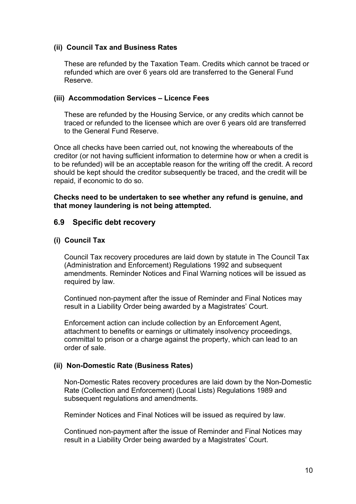#### **(ii) Council Tax and Business Rates**

These are refunded by the Taxation Team. Credits which cannot be traced or refunded which are over 6 years old are transferred to the General Fund Reserve.

#### **(iii) Accommodation Services – Licence Fees**

These are refunded by the Housing Service, or any credits which cannot be traced or refunded to the licensee which are over 6 years old are transferred to the General Fund Reserve.

Once all checks have been carried out, not knowing the whereabouts of the creditor (or not having sufficient information to determine how or when a credit is to be refunded) will be an acceptable reason for the writing off the credit. A record should be kept should the creditor subsequently be traced, and the credit will be repaid, if economic to do so.

#### **Checks need to be undertaken to see whether any refund is genuine, and that money laundering is not being attempted.**

#### **6.9 Specific debt recovery**

#### **(i) Council Tax**

Council Tax recovery procedures are laid down by statute in The Council Tax (Administration and Enforcement) Regulations 1992 and subsequent amendments. Reminder Notices and Final Warning notices will be issued as required by law.

Continued non-payment after the issue of Reminder and Final Notices may result in a Liability Order being awarded by a Magistrates' Court.

Enforcement action can include collection by an Enforcement Agent, attachment to benefits or earnings or ultimately insolvency proceedings, committal to prison or a charge against the property, which can lead to an order of sale.

#### **(ii) Non-Domestic Rate (Business Rates)**

Non-Domestic Rates recovery procedures are laid down by the Non-Domestic Rate (Collection and Enforcement) (Local Lists) Regulations 1989 and subsequent regulations and amendments.

Reminder Notices and Final Notices will be issued as required by law.

Continued non-payment after the issue of Reminder and Final Notices may result in a Liability Order being awarded by a Magistrates' Court.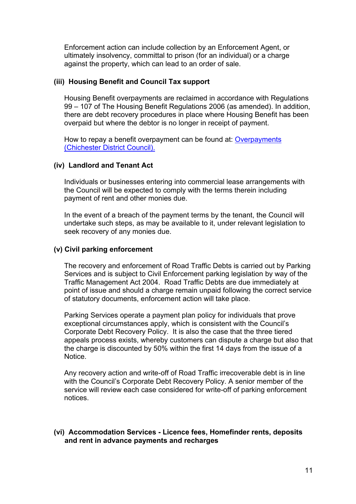Enforcement action can include collection by an Enforcement Agent, or ultimately insolvency, committal to prison (for an individual) or a charge against the property, which can lead to an order of sale.

#### **(iii) Housing Benefit and Council Tax support**

Housing Benefit overpayments are reclaimed in accordance with Regulations 99 – 107 of The Housing Benefit Regulations 2006 (as amended). In addition, there are debt recovery procedures in place where Housing Benefit has been overpaid but where the debtor is no longer in receipt of payment.

How to repay a benefit overpayment can be found at: [Overpayments](https://www.chichester.gov.uk/housingbenefitoverpayments) [\(Chichester District Council\).](https://www.chichester.gov.uk/housingbenefitoverpayments)

#### **(iv) Landlord and Tenant Act**

Individuals or businesses entering into commercial lease arrangements with the Council will be expected to comply with the terms therein including payment of rent and other monies due.

In the event of a breach of the payment terms by the tenant, the Council will undertake such steps, as may be available to it, under relevant legislation to seek recovery of any monies due.

#### **(v) Civil parking enforcement**

The recovery and enforcement of Road Traffic Debts is carried out by Parking Services and is subject to Civil Enforcement parking legislation by way of the Traffic Management Act 2004. Road Traffic Debts are due immediately at point of issue and should a charge remain unpaid following the correct service of statutory documents, enforcement action will take place.

Parking Services operate a payment plan policy for individuals that prove exceptional circumstances apply, which is consistent with the Council's Corporate Debt Recovery Policy. It is also the case that the three tiered appeals process exists, whereby customers can dispute a charge but also that the charge is discounted by 50% within the first 14 days from the issue of a **Notice** 

Any recovery action and write-off of Road Traffic irrecoverable debt is in line with the Council's Corporate Debt Recovery Policy. A senior member of the service will review each case considered for write-off of parking enforcement notices.

#### **(vi) Accommodation Services - Licence fees, Homefinder rents, deposits and rent in advance payments and recharges**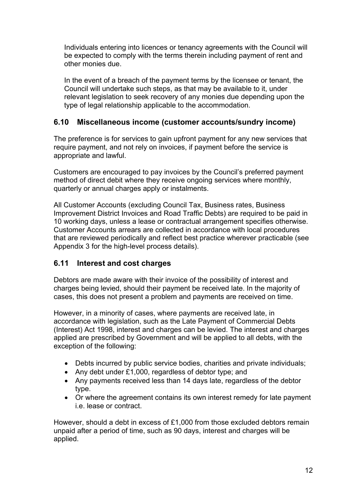Individuals entering into licences or tenancy agreements with the Council will be expected to comply with the terms therein including payment of rent and other monies due.

In the event of a breach of the payment terms by the licensee or tenant, the Council will undertake such steps, as that may be available to it, under relevant legislation to seek recovery of any monies due depending upon the type of legal relationship applicable to the accommodation.

### **6.10 Miscellaneous income (customer accounts/sundry income)**

The preference is for services to gain upfront payment for any new services that require payment, and not rely on invoices, if payment before the service is appropriate and lawful.

Customers are encouraged to pay invoices by the Council's preferred payment method of direct debit where they receive ongoing services where monthly, quarterly or annual charges apply or instalments.

All Customer Accounts (excluding Council Tax, Business rates, Business Improvement District Invoices and Road Traffic Debts) are required to be paid in 10 working days, unless a lease or contractual arrangement specifies otherwise. Customer Accounts arrears are collected in accordance with local procedures that are reviewed periodically and reflect best practice wherever practicable (see Appendix 3 for the high-level process details).

### **6.11 Interest and cost charges**

Debtors are made aware with their invoice of the possibility of interest and charges being levied, should their payment be received late. In the majority of cases, this does not present a problem and payments are received on time.

However, in a minority of cases, where payments are received late, in accordance with legislation, such as the Late Payment of Commercial Debts (Interest) Act 1998, interest and charges can be levied. The interest and charges applied are prescribed by Government and will be applied to all debts, with the exception of the following:

- Debts incurred by public service bodies, charities and private individuals;
- Any debt under £1,000, regardless of debtor type; and
- Any payments received less than 14 days late, regardless of the debtor type.
- Or where the agreement contains its own interest remedy for late payment i.e. lease or contract.

However, should a debt in excess of £1,000 from those excluded debtors remain unpaid after a period of time, such as 90 days, interest and charges will be applied.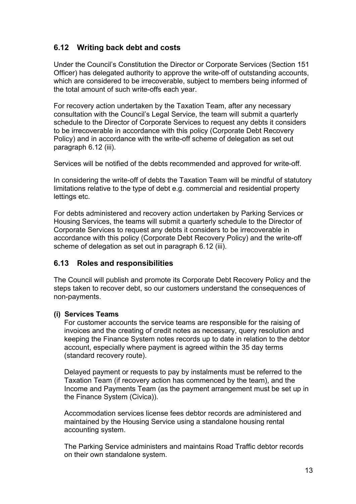### **6.12 Writing back debt and costs**

Under the Council's Constitution the Director or Corporate Services (Section 151 Officer) has delegated authority to approve the write-off of outstanding accounts, which are considered to be irrecoverable, subject to members being informed of the total amount of such write-offs each year.

For recovery action undertaken by the Taxation Team, after any necessary consultation with the Council's Legal Service, the team will submit a quarterly schedule to the Director of Corporate Services to request any debts it considers to be irrecoverable in accordance with this policy (Corporate Debt Recovery Policy) and in accordance with the write-off scheme of delegation as set out paragraph 6.12 (iii).

Services will be notified of the debts recommended and approved for write-off.

In considering the write-off of debts the Taxation Team will be mindful of statutory limitations relative to the type of debt e.g. commercial and residential property lettings etc.

For debts administered and recovery action undertaken by Parking Services or Housing Services, the teams will submit a quarterly schedule to the Director of Corporate Services to request any debts it considers to be irrecoverable in accordance with this policy (Corporate Debt Recovery Policy) and the write-off scheme of delegation as set out in paragraph 6.12 (iii).

#### **6.13 Roles and responsibilities**

The Council will publish and promote its Corporate Debt Recovery Policy and the steps taken to recover debt, so our customers understand the consequences of non-payments.

#### **(i) Services Teams**

For customer accounts the service teams are responsible for the raising of invoices and the creating of credit notes as necessary, query resolution and keeping the Finance System notes records up to date in relation to the debtor account, especially where payment is agreed within the 35 day terms (standard recovery route).

Delayed payment or requests to pay by instalments must be referred to the Taxation Team (if recovery action has commenced by the team), and the Income and Payments Team (as the payment arrangement must be set up in the Finance System (Civica)).

Accommodation services license fees debtor records are administered and maintained by the Housing Service using a standalone housing rental accounting system.

The Parking Service administers and maintains Road Traffic debtor records on their own standalone system.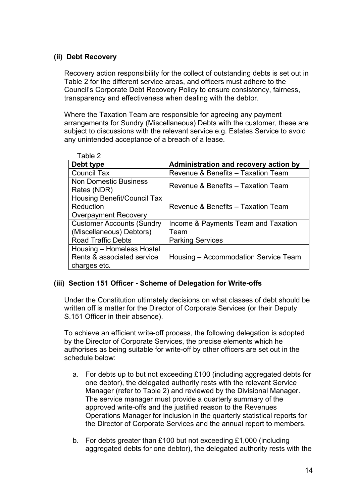#### **(ii) Debt Recovery**

Recovery action responsibility for the collect of outstanding debts is set out in Table 2 for the different service areas, and officers must adhere to the Council's Corporate Debt Recovery Policy to ensure consistency, fairness, transparency and effectiveness when dealing with the debtor.

Where the Taxation Team are responsible for agreeing any payment arrangements for Sundry (Miscellaneous) Debts with the customer, these are subject to discussions with the relevant service e.g. Estates Service to avoid any unintended acceptance of a breach of a lease.

| Table 2                            |                                       |  |  |
|------------------------------------|---------------------------------------|--|--|
| Debt type                          | Administration and recovery action by |  |  |
| <b>Council Tax</b>                 | Revenue & Benefits - Taxation Team    |  |  |
| <b>Non Domestic Business</b>       | Revenue & Benefits - Taxation Team    |  |  |
| Rates (NDR)                        |                                       |  |  |
| <b>Housing Benefit/Council Tax</b> |                                       |  |  |
| Reduction                          | Revenue & Benefits - Taxation Team    |  |  |
| <b>Overpayment Recovery</b>        |                                       |  |  |
| <b>Customer Accounts (Sundry</b>   | Income & Payments Team and Taxation   |  |  |
| (Miscellaneous) Debtors)           | Team                                  |  |  |
| <b>Road Traffic Debts</b>          | <b>Parking Services</b>               |  |  |
| Housing – Homeless Hostel          |                                       |  |  |
| Rents & associated service         | Housing – Accommodation Service Team  |  |  |
| charges etc.                       |                                       |  |  |

#### **(iii) Section 151 Officer - Scheme of Delegation for Write-offs**

Under the Constitution ultimately decisions on what classes of debt should be written off is matter for the Director of Corporate Services (or their Deputy S.151 Officer in their absence).

To achieve an efficient write-off process, the following delegation is adopted by the Director of Corporate Services, the precise elements which he authorises as being suitable for write-off by other officers are set out in the schedule below:

- a. For debts up to but not exceeding £100 (including aggregated debts for one debtor), the delegated authority rests with the relevant Service Manager (refer to Table 2) and reviewed by the Divisional Manager. The service manager must provide a quarterly summary of the approved write-offs and the justified reason to the Revenues Operations Manager for inclusion in the quarterly statistical reports for the Director of Corporate Services and the annual report to members.
- b. For debts greater than £100 but not exceeding £1,000 (including aggregated debts for one debtor), the delegated authority rests with the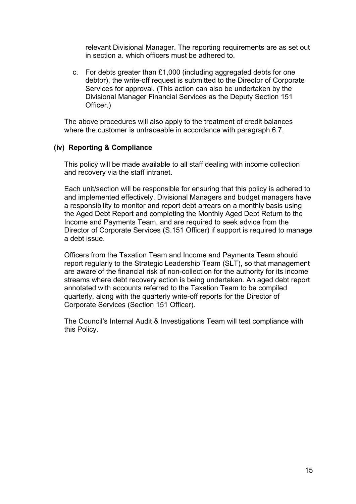relevant Divisional Manager. The reporting requirements are as set out in section a. which officers must be adhered to.

c. For debts greater than £1,000 (including aggregated debts for one debtor), the write-off request is submitted to the Director of Corporate Services for approval. (This action can also be undertaken by the Divisional Manager Financial Services as the Deputy Section 151 Officer.)

The above procedures will also apply to the treatment of credit balances where the customer is untraceable in accordance with paragraph 6.7.

#### **(iv) Reporting & Compliance**

This policy will be made available to all staff dealing with income collection and recovery via the staff intranet.

Each unit/section will be responsible for ensuring that this policy is adhered to and implemented effectively. Divisional Managers and budget managers have a responsibility to monitor and report debt arrears on a monthly basis using the Aged Debt Report and completing the Monthly Aged Debt Return to the Income and Payments Team, and are required to seek advice from the Director of Corporate Services (S.151 Officer) if support is required to manage a debt issue.

Officers from the Taxation Team and Income and Payments Team should report regularly to the Strategic Leadership Team (SLT), so that management are aware of the financial risk of non-collection for the authority for its income streams where debt recovery action is being undertaken. An aged debt report annotated with accounts referred to the Taxation Team to be compiled quarterly, along with the quarterly write-off reports for the Director of Corporate Services (Section 151 Officer).

The Council's Internal Audit & Investigations Team will test compliance with this Policy.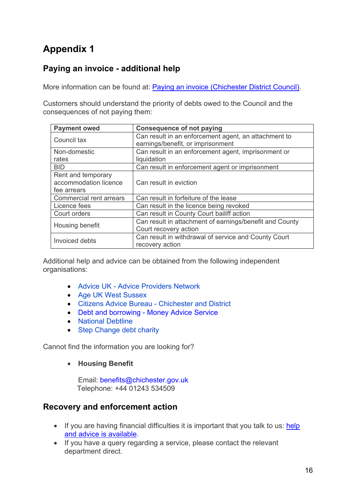# **Appendix 1**

### **Paying an invoice - additional help**

More information can be found at: **Paying an invoice (Chichester District Council)**.

Customers should understand the priority of debts owed to the Council and the consequences of not paying them:

| <b>Payment owed</b>            | <b>Consequence of not paying</b>                        |  |  |
|--------------------------------|---------------------------------------------------------|--|--|
| Council tax                    | Can result in an enforcement agent, an attachment to    |  |  |
|                                | earnings/benefit, or imprisonment                       |  |  |
| Non-domestic                   | Can result in an enforcement agent, imprisonment or     |  |  |
| rates                          | liquidation                                             |  |  |
| <b>BID</b>                     | Can result in enforcement agent or imprisonment         |  |  |
| Rent and temporary             |                                                         |  |  |
| accommodation licence          | Can result in eviction                                  |  |  |
| fee arrears                    |                                                         |  |  |
| <b>Commercial rent arrears</b> | Can result in forfeiture of the lease                   |  |  |
| Licence fees                   | Can result in the licence being revoked                 |  |  |
| Court orders                   | Can result in County Court bailiff action               |  |  |
| Housing benefit                | Can result in attachment of earnings/benefit and County |  |  |
|                                | Court recovery action                                   |  |  |
| Invoiced debts                 | Can result in withdrawal of service and County Court    |  |  |
|                                | recovery action                                         |  |  |

Additional help and advice can be obtained from the following independent organisations:

- Advice UK Advice Providers Network
- Age UK West Sussex
- Citizens Advice Bureau Chichester and District
- [Debt and borrowing Money Advice Service](https://www.moneyadviceservice.org.uk/en/categories/debt-and-borrowing)
- National Debtline
- Step Change debt charity

Cannot find the information you are looking for?

• **Housing Benefit**

Email: benefits@chichester.gov.uk Telephone: +44 01243 534509

### **Recovery and enforcement action**

- If you are having financial difficulties it is important that you talk to us: help [and advice is available.](https://www.chichester.gov.uk/payinvoice#cn7177)
- If you have a query regarding a service, please contact the relevant department direct.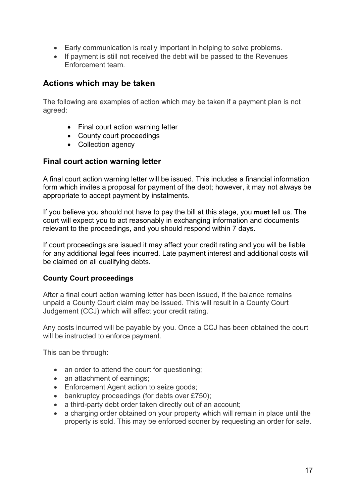- Early communication is really important in helping to solve problems.
- If payment is still not received the debt will be passed to the Revenues Enforcement team.

### **Actions which may be taken**

The following are examples of action which may be taken if a payment plan is not agreed:

- Final court action warning letter
- County court proceedings
- Collection agency

#### **Final court action warning letter**

A final court action warning letter will be issued. This includes a financial information form which invites a proposal for payment of the debt; however, it may not always be appropriate to accept payment by instalments.

If you believe you should not have to pay the bill at this stage, you **must** tell us. The court will expect you to act reasonably in exchanging information and documents relevant to the proceedings, and you should respond within 7 days.

If court proceedings are issued it may affect your credit rating and you will be liable for any additional legal fees incurred. Late payment interest and additional costs will be claimed on all qualifying debts.

#### **County Court proceedings**

After a final court action warning letter has been issued, if the balance remains unpaid a County Court claim may be issued. This will result in a County Court Judgement (CCJ) which will affect your credit rating.

Any costs incurred will be payable by you. Once a CCJ has been obtained the court will be instructed to enforce payment.

This can be through:

- an order to attend the court for questioning;
- an attachment of earnings:
- Enforcement Agent action to seize goods;
- bankruptcy proceedings (for debts over £750);
- a third-party debt order taken directly out of an account;
- a charging order obtained on your property which will remain in place until the property is sold. This may be enforced sooner by requesting an order for sale.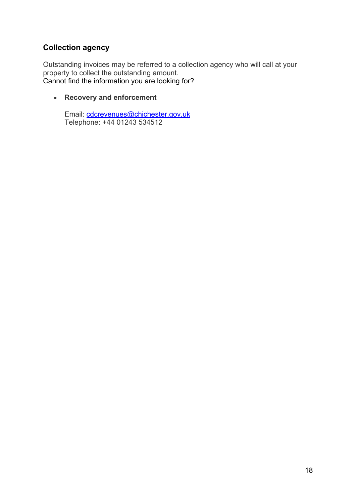### **Collection agency**

Outstanding invoices may be referred to a collection agency who will call at your property to collect the outstanding amount. Cannot find the information you are looking for?

• **Recovery and enforcement**

Email: [cdcrevenues@chichester.gov.uk](mailto:cdcrevenues@chichester.gov.uk) Telephone: +44 01243 534512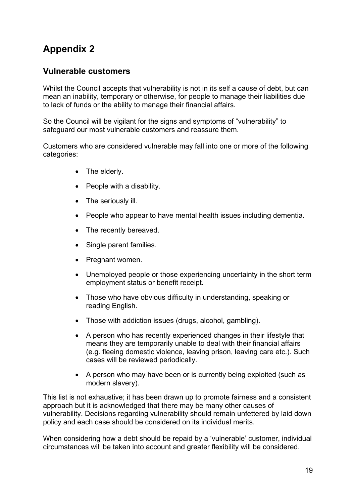## **Appendix 2**

### **Vulnerable customers**

Whilst the Council accepts that vulnerability is not in its self a cause of debt, but can mean an inability, temporary or otherwise, for people to manage their liabilities due to lack of funds or the ability to manage their financial affairs.

So the Council will be vigilant for the signs and symptoms of "vulnerability" to safeguard our most vulnerable customers and reassure them.

Customers who are considered vulnerable may fall into one or more of the following categories:

- The elderly.
- People with a disability.
- The seriously ill.
- People who appear to have mental health issues including dementia.
- The recently bereaved.
- Single parent families.
- Pregnant women.
- Unemployed people or those experiencing uncertainty in the short term employment status or benefit receipt.
- Those who have obvious difficulty in understanding, speaking or reading English.
- Those with addiction issues (drugs, alcohol, gambling).
- A person who has recently experienced changes in their lifestyle that means they are temporarily unable to deal with their financial affairs (e.g. fleeing domestic violence, leaving prison, leaving care etc.). Such cases will be reviewed periodically.
- A person who may have been or is currently being exploited (such as modern slavery).

This list is not exhaustive; it has been drawn up to promote fairness and a consistent approach but it is acknowledged that there may be many other causes of vulnerability. Decisions regarding vulnerability should remain unfettered by laid down policy and each case should be considered on its individual merits.

When considering how a debt should be repaid by a 'vulnerable' customer, individual circumstances will be taken into account and greater flexibility will be considered.